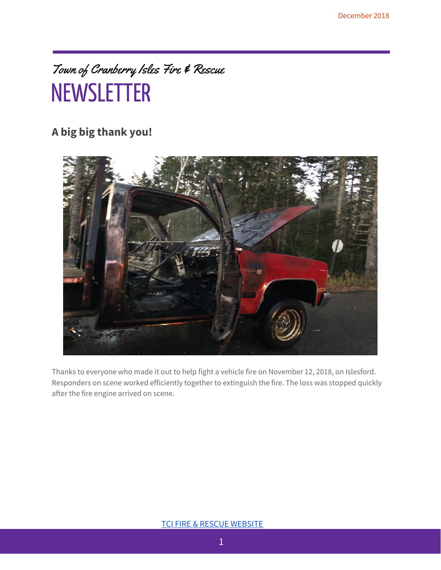### Town of Cranberry Isles Fire & Rescue **NEWSLETTER**

### **A big big thank you!**



Thanks to everyone who made it out to help fight a vehicle fire on November 12, 2018, on Islesford. Responders on scene worked efficiently together to extinguish the fire. The loss was stopped quickly after the fire engine arrived on scene.

#### TCI FIRE & RESCUE [WEBSITE](https://sites.google.com/tcipublicsafety.org/publicsafety/home?authuser=1)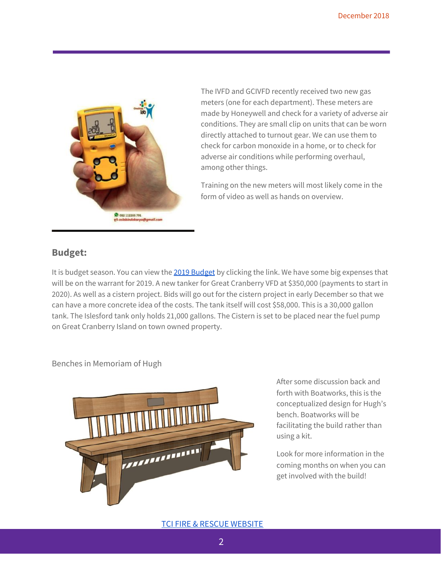

The IVFD and GCIVFD recently received two new gas meters (one for each department). These meters are made by Honeywell and check for a variety of adverse air conditions. They are small clip on units that can be worn directly attached to turnout gear. We can use them to check for carbon monoxide in a home, or to check for adverse air conditions while performing overhaul, among other things.

Training on the new meters will most likely come in the form of video as well as hands on overview.

#### **Budget:**

It is budget season. You can view the 2019 [Budget](https://docs.google.com/spreadsheets/d/1SKP1puQOlvWNxzMbnQkQ_5ZSgO-Oerhg5O9J5X8BkMk/edit?usp=sharing) by clicking the link. We have some big expenses that will be on the warrant for 2019. A new tanker for Great Cranberry VFD at \$350,000 (payments to start in 2020). As well as a cistern project. Bids will go out for the cistern project in early December so that we can have a more concrete idea of the costs. The tank itself will cost \$58,000. This is a 30,000 gallon tank. The Islesford tank only holds 21,000 gallons. The Cistern is set to be placed near the fuel pump on Great Cranberry Island on town owned property.

#### Benches in Memoriam of Hugh



After some discussion back and forth with Boatworks, this is the conceptualized design for Hugh's bench. Boatworks will be facilitating the build rather than using a kit.

Look for more information in the coming months on when you can get involved with the build!

#### TCI FIRE & RESCUE [WEBSITE](https://sites.google.com/tcipublicsafety.org/publicsafety/home?authuser=1)